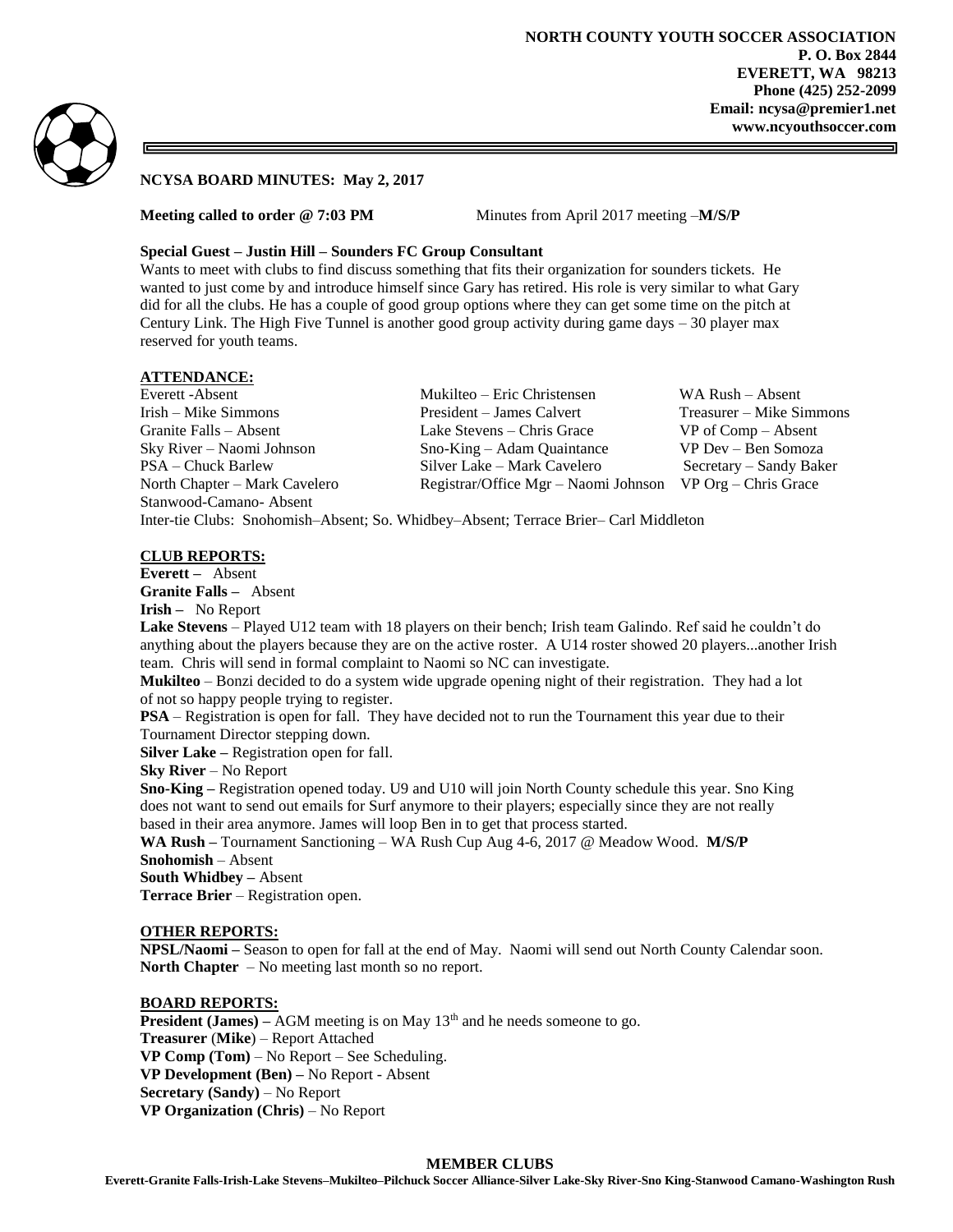

# **NCYSA BOARD MINUTES: May 2, 2017**

**Meeting called to order @ 7:03 PM** Minutes from April 2017 meeting –**M/S/P** 

### **Special Guest – Justin Hill – Sounders FC Group Consultant**

Wants to meet with clubs to find discuss something that fits their organization for sounders tickets. He wanted to just come by and introduce himself since Gary has retired. His role is very similar to what Gary did for all the clubs. He has a couple of good group options where they can get some time on the pitch at Century Link. The High Five Tunnel is another good group activity during game days – 30 player max reserved for youth teams.

# **ATTENDANCE:**

Everett -Absent Mukilteo – Eric Christensen WA Rush – Absent Irish – Mike Simmons President – James Calvert Treasurer – Mike Simmons Granite Falls – Absent Lake Stevens – Chris Grace VP of Comp – Absent Sky River – Naomi Johnson Sno-King – Adam Quaintance VP Dev – Ben Somoza PSA – Chuck Barlew Silver Lake – Mark Cavelero Secretary – Sandy Baker North Chapter – Mark Cavelero Registrar/Office Mgr – Naomi Johnson VP Org – Chris Grace Stanwood-Camano- Absent Inter-tie Clubs: Snohomish–Absent; So. Whidbey–Absent; Terrace Brier– Carl Middleton

### **CLUB REPORTS:**

**Everett –** Absent **Granite Falls –** Absent

**Irish –** No Report

**Lake Stevens** – Played U12 team with 18 players on their bench; Irish team Galindo. Ref said he couldn't do anything about the players because they are on the active roster. A U14 roster showed 20 players...another Irish team. Chris will send in formal complaint to Naomi so NC can investigate.

**Mukilteo** – Bonzi decided to do a system wide upgrade opening night of their registration. They had a lot of not so happy people trying to register.

**PSA** – Registration is open for fall. They have decided not to run the Tournament this year due to their Tournament Director stepping down.

**Silver Lake –** Registration open for fall.

**Sky River** – No Report

**Sno-King –** Registration opened today. U9 and U10 will join North County schedule this year. Sno King does not want to send out emails for Surf anymore to their players; especially since they are not really based in their area anymore. James will loop Ben in to get that process started.

**WA Rush –** Tournament Sanctioning – WA Rush Cup Aug 4-6, 2017 @ Meadow Wood. **M/S/P Snohomish** – Absent

**South Whidbey –** Absent

**Terrace Brier** – Registration open.

### **OTHER REPORTS:**

**NPSL/Naomi –** Season to open for fall at the end of May. Naomi will send out North County Calendar soon. **North Chapter** – No meeting last month so no report.

#### **BOARD REPORTS:**

**President (James)** – AGM meeting is on May 13<sup>th</sup> and he needs someone to go. **Treasurer** (**Mike**) – Report Attached **VP Comp (Tom)** – No Report – See Scheduling. **VP Development (Ben) –** No Report - Absent **Secretary (Sandy)** – No Report **VP Organization (Chris)** – No Report

#### **MEMBER CLUBS**